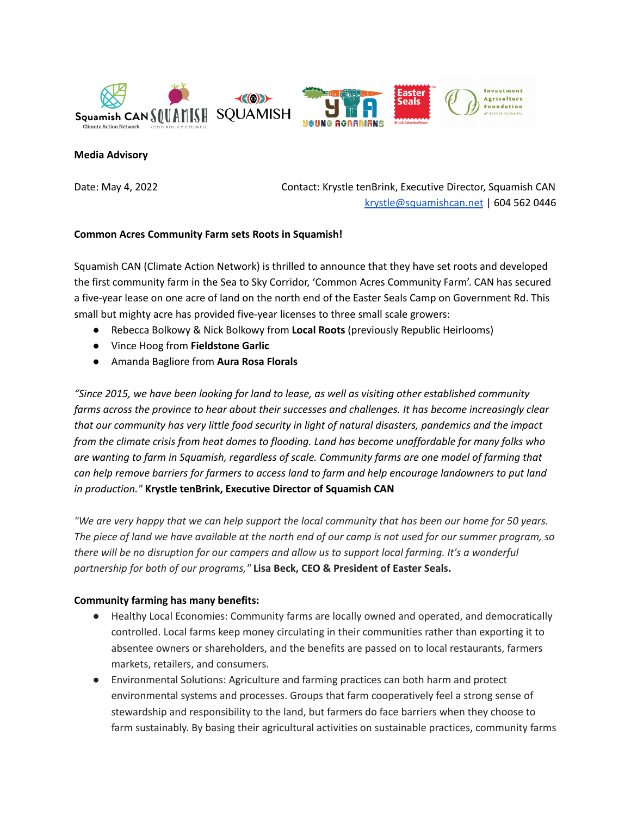



## **Media Advisory**

Date: May 4, 2022 Contact: Krystle tenBrink, Executive Director, Squamish CAN [krystle@squamishcan.net](mailto:krystle@squamishcan.net) | 604 562 0446

## **Common Acres Community Farm sets Roots in Squamish!**

Squamish CAN (Climate Action Network) is thrilled to announce that they have set roots and developed the first community farm in the Sea to Sky Corridor, 'Common Acres Community Farm'. CAN has secured a five-year lease on one acre of land on the north end of the Easter Seals Camp on Government Rd. This small but mighty acre has provided five-year licenses to three small scale growers:

- Rebecca Bolkowy & Nick Bolkowy from **Local Roots** (previously Republic Heirlooms)
- Vince Hoog from **Fieldstone Garlic**
- Amanda Bagliore from **Aura Rosa Florals**

*"Since 2015, we have been looking for land to lease, as well as visiting other established community farms across the province to hear about their successes and challenges. It has become increasingly clear that our community has very little food security in light of natural disasters, pandemics and the impact from the climate crisis from heat domes to flooding. Land has become unaffordable for many folks who are wanting to farm in Squamish, regardless of scale. Community farms are one model of farming that* can help remove barriers for farmers to access land to farm and help encourage landowners to put land *in production."* **Krystle tenBrink, Executive Director of Squamish CAN**

"We are very happy that we can help support the local community that has been our home for 50 years. The piece of land we have available at the north end of our camp is not used for our summer program, so there will be no disruption for our campers and allow us to support local farming. It's a wonderful *partnership for both of our programs,"* **Lisa Beck, CEO & President of Easter Seals.**

## **Community farming has many benefits:**

- Healthy Local Economies: Community farms are locally owned and operated, and democratically controlled. Local farms keep money circulating in their communities rather than exporting it to absentee owners or shareholders, and the benefits are passed on to local restaurants, farmers markets, retailers, and consumers.
- Environmental Solutions: Agriculture and farming practices can both harm and protect environmental systems and processes. Groups that farm cooperatively feel a strong sense of stewardship and responsibility to the land, but farmers do face barriers when they choose to farm sustainably. By basing their agricultural activities on sustainable practices, community farms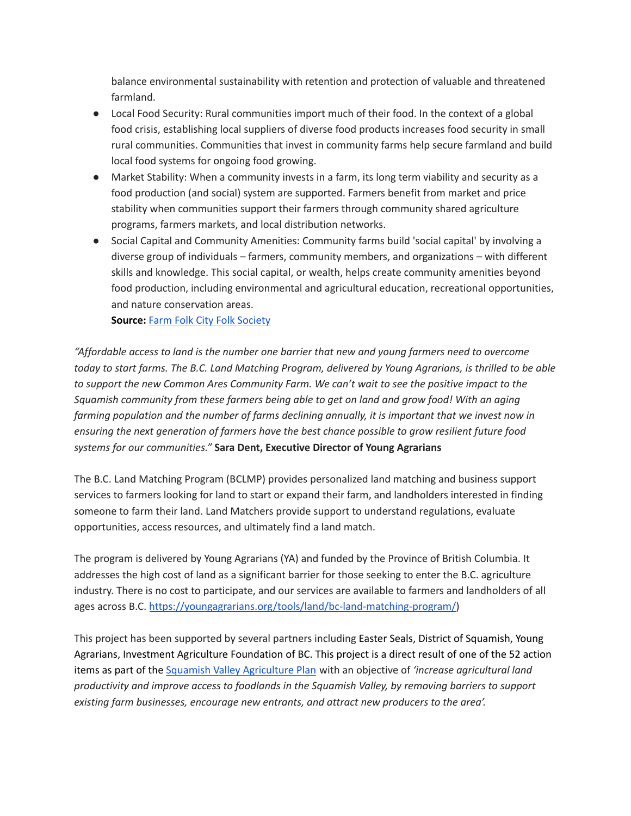balance environmental sustainability with retention and protection of valuable and threatened farmland.

- Local Food Security: Rural communities import much of their food. In the context of a global food crisis, establishing local suppliers of diverse food products increases food security in small rural communities. Communities that invest in community farms help secure farmland and build local food systems for ongoing food growing.
- Market Stability: When a community invests in a farm, its long term viability and security as a food production (and social) system are supported. Farmers benefit from market and price stability when communities support their farmers through community shared agriculture programs, farmers markets, and local distribution networks.
- Social Capital and Community Amenities: Community farms build 'social capital' by involving a diverse group of individuals – farmers, community members, and organizations – with different skills and knowledge. This social capital, or wealth, helps create community amenities beyond food production, including environmental and agricultural education, recreational opportunities, and nature conservation areas.

**Source:** Farm Folk City Folk [Society](http://www.communityfarms.ca/program/progBenefits.shtml)

*"Affordable access to land is the number one barrier that new and young farmers need to overcome* today to start farms. The B.C. Land Matching Program, delivered by Young Agrarians, is thrilled to be able *to support the new Common Ares Community Farm. We can't wait to see the positive impact to the Squamish community from these farmers being able to get on land and grow food! With an aging farming population and the number of farms declining annually, it is important that we invest now in ensuring the next generation of farmers have the best chance possible to grow resilient future food systems for our communities."* **Sara Dent, Executive Director of Young Agrarians**

The B.C. Land Matching Program (BCLMP) provides personalized land matching and business support services to farmers looking for land to start or expand their farm, and landholders interested in finding someone to farm their land. Land Matchers provide support to understand regulations, evaluate opportunities, access resources, and ultimately find a land match.

The program is delivered by Young Agrarians (YA) and funded by the Province of British Columbia. It addresses the high cost of land as a significant barrier for those seeking to enter the B.C. agriculture industry. There is no cost to participate, and our services are available to farmers and landholders of all ages across B.C. [https://youngagrarians.org/tools/land/bc-land-matching-program/\)](https://youngagrarians.org/tools/land/bc-land-matching-program/)

This project has been supported by several partners including Easter Seals, District of Squamish, Young Agrarians, Investment Agriculture Foundation of BC. This project is a direct result of one of the 52 action items as part of the Squamish Valley [Agriculture](http://www.squamishfoodpolicycouncil.com/uploads/1/2/5/1/125138143/squamish_valley_ag_plan.pdf) Plan with an objective of *'increase agricultural land productivity and improve access to foodlands in the Squamish Valley, by removing barriers to support existing farm businesses, encourage new entrants, and attract new producers to the area'.*